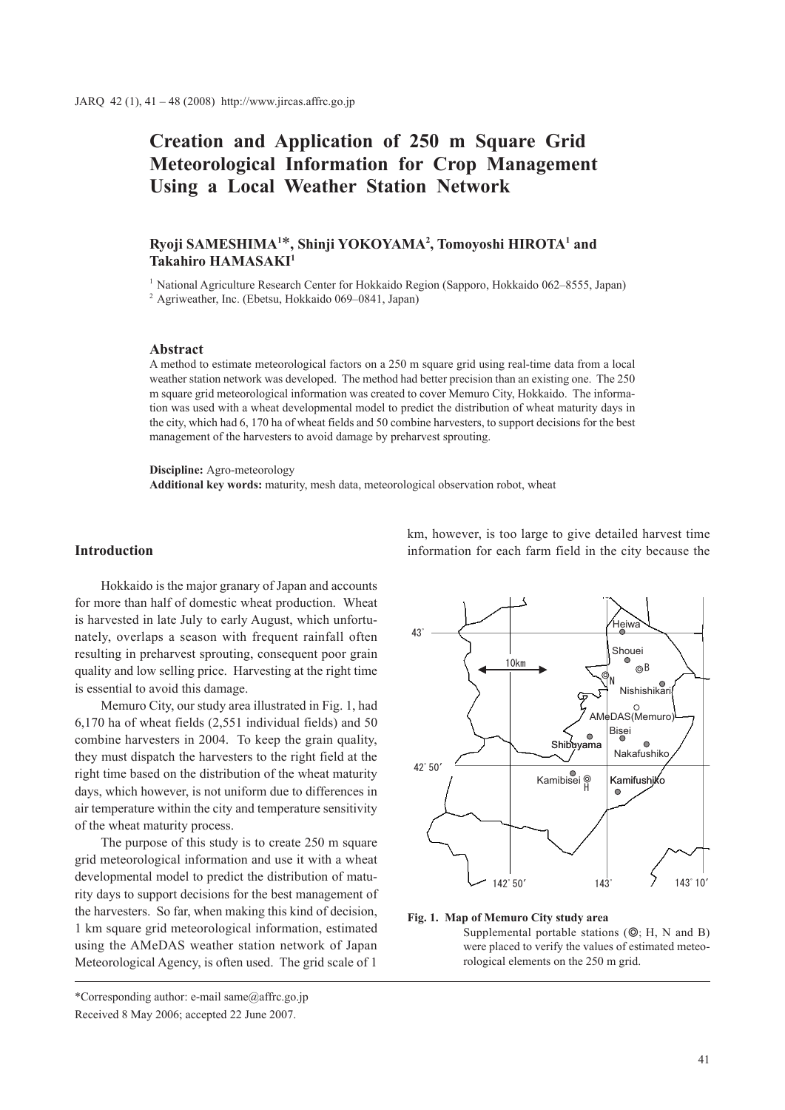# **Creation and Application of 250 m Square Grid Meteorological Information for Crop Management Using a Local Weather Station Network**

# $R$ yoji SAMESHIMA<sup>1\*</sup>, Shinji YOKOYAMA<sup>2</sup>, Tomoyoshi HIROTA<sup>1</sup> and **Takahiro HAMASAKI1**

<sup>1</sup> National Agriculture Research Center for Hokkaido Region (Sapporo, Hokkaido 062–8555, Japan) <sup>2</sup> Agriweather, Inc. (Ebetsu, Hokkaido 069–0841, Japan)

#### **Abstract**

A method to estimate meteorological factors on a 250 m square grid using real-time data from a local weather station network was developed. The method had better precision than an existing one. The 250 m square grid meteorological information was created to cover Memuro City, Hokkaido. The information was used with a wheat developmental model to predict the distribution of wheat maturity days in the city, which had 6, 170 ha of wheat fields and 50 combine harvesters, to support decisions for the best management of the harvesters to avoid damage by preharvest sprouting.

**Discipline:** Agro-meteorology

**Additional key words:** maturity, mesh data, meteorological observation robot, wheat

#### **Introduction**

Hokkaido is the major granary of Japan and accounts for more than half of domestic wheat production. Wheat is harvested in late July to early August, which unfortunately, overlaps a season with frequent rainfall often resulting in preharvest sprouting, consequent poor grain quality and low selling price. Harvesting at the right time is essential to avoid this damage.

Memuro City, our study area illustrated in Fig. 1, had 6,170 ha of wheat fields (2,551 individual fields) and 50 combine harvesters in 2004. To keep the grain quality, they must dispatch the harvesters to the right field at the right time based on the distribution of the wheat maturity days, which however, is not uniform due to differences in air temperature within the city and temperature sensitivity of the wheat maturity process.

The purpose of this study is to create 250 m square grid meteorological information and use it with a wheat developmental model to predict the distribution of maturity days to support decisions for the best management of the harvesters. So far, when making this kind of decision, 1 km square grid meteorological information, estimated using the AMeDAS weather station network of Japan Meteorological Agency, is often used. The grid scale of 1

\*Corresponding author: e-mail same@affrc.go.jp Received 8 May 2006; accepted 22 June 2007.

km, however, is too large to give detailed harvest time information for each farm field in the city because the



#### **Fig. 1. Map of Memuro City study area**

Supplemental portable stations  $(\mathbb{Q}; H, N \text{ and } B)$ were placed to verify the values of estimated meteorological elements on the 250 m grid.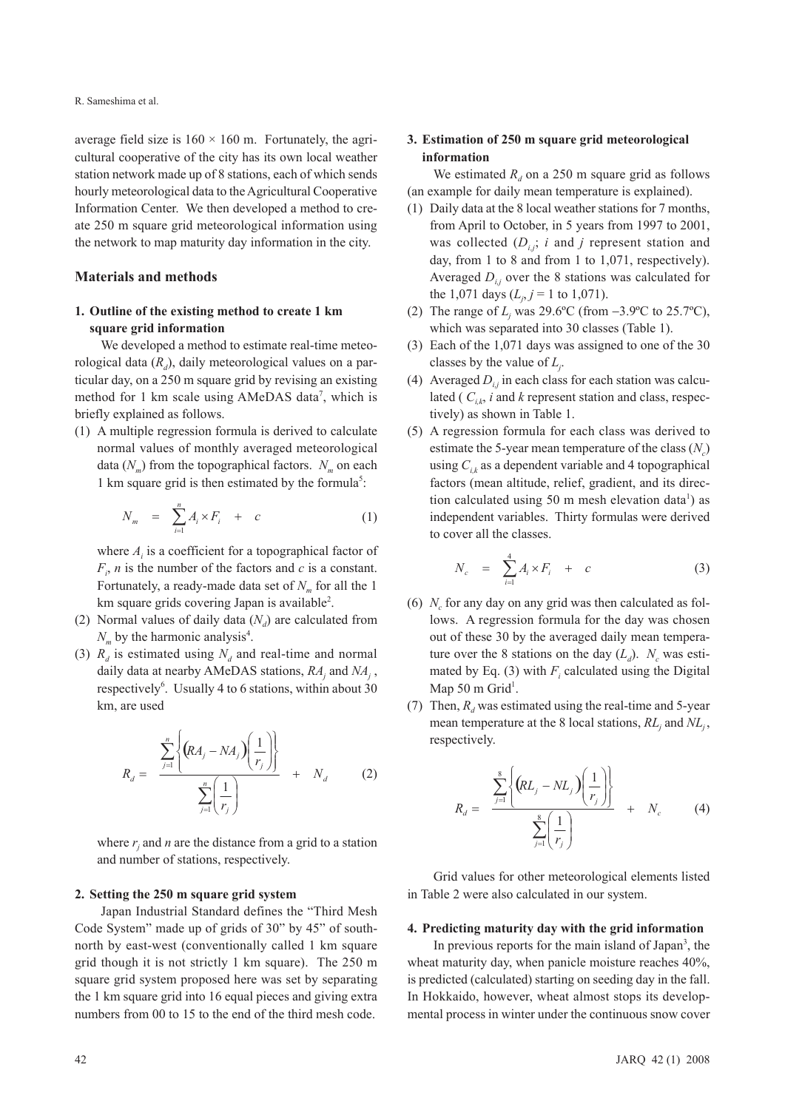average field size is  $160 \times 160$  m. Fortunately, the agricultural cooperative of the city has its own local weather station network made up of 8 stations, each of which sends hourly meteorological data to the Agricultural Cooperative Information Center. We then developed a method to create 250 m square grid meteorological information using the network to map maturity day information in the city.

#### **Materials and methods**

# **1. Outline of the existing method to create 1 km square grid information**

We developed a method to estimate real-time meteorological data  $(R_d)$ , daily meteorological values on a particular day, on a 250 m square grid by revising an existing method for 1 km scale using AMeDAS data<sup>7</sup>, which is briefly explained as follows.

(1) A multiple regression formula is derived to calculate normal values of monthly averaged meteorological data  $(N_m)$  from the topographical factors.  $N_m$  on each 1 km square grid is then estimated by the formula<sup>5</sup>:

$$
N_m = \sum_{i=1}^n A_i \times F_i + c \tag{1}
$$

where  $A_i$  is a coefficient for a topographical factor of  $F_i$ , *n* is the number of the factors and *c* is a constant. Fortunately, a ready-made data set of  $N_m$  for all the 1 km square grids covering Japan is available<sup>2</sup>.

- (2) Normal values of daily data  $(N_d)$  are calculated from  $N_m$  by the harmonic analysis<sup>4</sup>.
- (3)  $R_d$  is estimated using  $N_d$  and real-time and normal daily data at nearby AMeDAS stations, *RAj* and *NAj* , respectively<sup>6</sup>. Usually 4 to 6 stations, within about 30 km, are used

$$
R_d = \frac{\sum_{j=1}^n \left\{ (RA_j - NA_j) \left( \frac{1}{r_j} \right) \right\}}{\sum_{j=1}^n \left( \frac{1}{r_j} \right)} + N_d \qquad (2)
$$

where  $r_j$  and  $n$  are the distance from a grid to a station and number of stations, respectively.

#### **2. Setting the 250 m square grid system**

Japan Industrial Standard defines the "Third Mesh Code System" made up of grids of 30" by 45" of southnorth by east-west (conventionally called 1 km square grid though it is not strictly 1 km square). The 250 m square grid system proposed here was set by separating the 1 km square grid into 16 equal pieces and giving extra numbers from 00 to 15 to the end of the third mesh code.

# **3. Estimation of 250 m square grid meteorological information**

We estimated  $R_d$  on a 250 m square grid as follows (an example for daily mean temperature is explained).

- (1) Daily data at the 8 local weather stations for 7 months, from April to October, in 5 years from 1997 to 2001, was collected  $(D_{i,j}; i$  and *j* represent station and day, from 1 to 8 and from 1 to 1,071, respectively). Averaged  $D_{i,j}$  over the 8 stations was calculated for the 1,071 days  $(L_j, j = 1 \text{ to } 1,071)$ .
- (2) The range of  $L_j$  was 29.6°C (from  $-3.9$ °C to 25.7°C), which was separated into 30 classes (Table 1).
- (3) Each of the 1,071 days was assigned to one of the 30 classes by the value of *Lj* .
- (4) Averaged  $D_{i,j}$  in each class for each station was calculated ( $C_{ik}$ , *i* and *k* represent station and class, respectively) as shown in Table 1.
- (5) A regression formula for each class was derived to estimate the 5-year mean temperature of the class  $(N_c)$ using  $C_{ik}$  as a dependent variable and 4 topographical factors (mean altitude, relief, gradient, and its direction calculated using 50 m mesh elevation data<sup>1</sup>) as independent variables. Thirty formulas were derived to cover all the classes.

$$
N_c = \sum_{i=1}^4 A_i \times F_i + c \tag{3}
$$

- (6)  $N_c$  for any day on any grid was then calculated as follows. A regression formula for the day was chosen out of these 30 by the averaged daily mean temperature over the 8 stations on the day  $(L_d)$ .  $N_c$  was estimated by Eq. (3) with  $F_i$  calculated using the Digital Map 50 m Grid<sup>1</sup>.
- (7) Then,  $R_d$  was estimated using the real-time and 5-year mean temperature at the 8 local stations,  $RL_j$  and  $NL_j$ , respectively.

$$
R_d = \frac{\sum_{j=1}^{8} \left\{ (RL_j - NL_j) \left( \frac{1}{r_j} \right) \right\}}{\sum_{j=1}^{8} \left( \frac{1}{r_j} \right)} + N_c \qquad (4)
$$

Grid values for other meteorological elements listed in Table 2 were also calculated in our system.

## **4. Predicting maturity day with the grid information**

In previous reports for the main island of Japan<sup>3</sup>, the wheat maturity day, when panicle moisture reaches 40%, is predicted (calculated) starting on seeding day in the fall. In Hokkaido, however, wheat almost stops its developmental process in winter under the continuous snow cover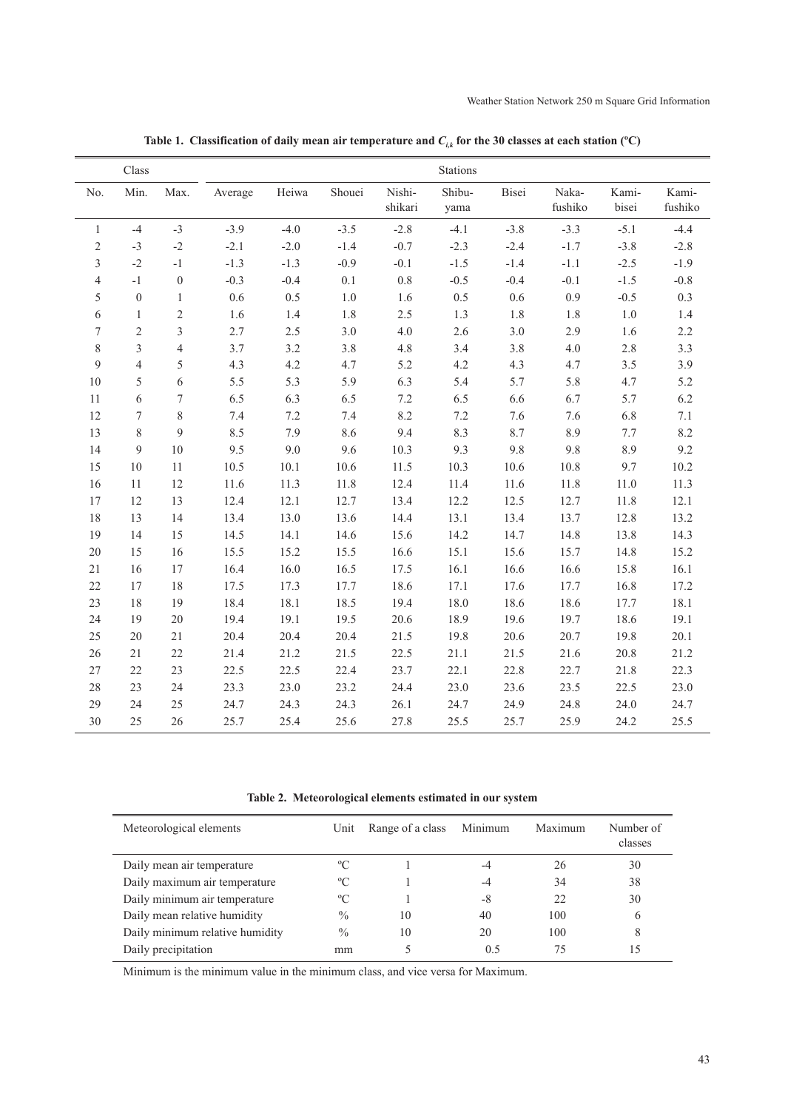|                | Class            |                  |         |        |         |                   | Stations       |         |                  |                |                  |
|----------------|------------------|------------------|---------|--------|---------|-------------------|----------------|---------|------------------|----------------|------------------|
| No.            | Min.             | Max.             | Average | Heiwa  | Shouei  | Nishi-<br>shikari | Shibu-<br>yama | Bisei   | Naka-<br>fushiko | Kami-<br>bisei | Kami-<br>fushiko |
| $\mathbf{1}$   | $-4$             | $-3$             | $-3.9$  | $-4.0$ | $-3.5$  | $-2.8$            | $-4.1$         | $-3.8$  | $-3.3$           | $-5.1$         | $-4.4$           |
| $\overline{2}$ | $-3$             | $-2$             | $-2.1$  | $-2.0$ | $-1.4$  | $-0.7$            | $-2.3$         | $-2.4$  | $-1.7$           | $-3.8$         | $-2.8$           |
| 3              | $-2$             | $^{\rm -1}$      | $-1.3$  | $-1.3$ | $-0.9$  | $-0.1$            | $-1.5$         | $-1.4$  | $-1.1$           | $-2.5$         | $-1.9$           |
| $\overline{4}$ | $-1$             | $\boldsymbol{0}$ | $-0.3$  | $-0.4$ | $0.1\,$ | 0.8               | $-0.5$         | $-0.4$  | $-0.1$           | $-1.5$         | $-0.8$           |
| 5              | $\boldsymbol{0}$ | $\mathbf{1}$     | $0.6\,$ | 0.5    | $1.0\,$ | 1.6               | 0.5            | 0.6     | 0.9              | $-0.5$         | 0.3              |
| 6              | $\mathbf{1}$     | $\overline{c}$   | 1.6     | 1.4    | 1.8     | 2.5               | 1.3            | 1.8     | 1.8              | $1.0\,$        | 1.4              |
| 7              | $\overline{2}$   | $\overline{3}$   | 2.7     | 2.5    | 3.0     | $4.0\,$           | 2.6            | $3.0$   | 2.9              | 1.6            | 2.2              |
| 8              | 3                | $\overline{4}$   | 3.7     | 3.2    | 3.8     | 4.8               | 3.4            | 3.8     | 4.0              | $2.8\,$        | 3.3              |
| 9              | $\overline{4}$   | 5                | 4.3     | 4.2    | 4.7     | 5.2               | 4.2            | 4.3     | 4.7              | 3.5            | 3.9              |
| $10\,$         | 5                | 6                | 5.5     | 5.3    | 5.9     | 6.3               | 5.4            | 5.7     | 5.8              | 4.7            | 5.2              |
| 11             | 6                | $\boldsymbol{7}$ | 6.5     | 6.3    | 6.5     | 7.2               | 6.5            | 6.6     | 6.7              | 5.7            | 6.2              |
| 12             | 7                | $\,$ $\,$        | 7.4     | 7.2    | $7.4\,$ | 8.2               | $7.2\,$        | $7.6\,$ | 7.6              | 6.8            | $7.1\,$          |
| 13             | 8                | 9                | 8.5     | 7.9    | 8.6     | 9.4               | 8.3            | 8.7     | 8.9              | 7.7            | 8.2              |
| 14             | 9                | 10               | 9.5     | 9.0    | 9.6     | 10.3              | 9.3            | 9.8     | 9.8              | 8.9            | 9.2              |
| 15             | 10               | $11\,$           | 10.5    | 10.1   | 10.6    | 11.5              | 10.3           | 10.6    | 10.8             | 9.7            | 10.2             |
| 16             | 11               | 12               | 11.6    | 11.3   | 11.8    | 12.4              | 11.4           | 11.6    | 11.8             | 11.0           | 11.3             |
| 17             | 12               | 13               | 12.4    | 12.1   | 12.7    | 13.4              | 12.2           | 12.5    | 12.7             | 11.8           | 12.1             |
| $18\,$         | 13               | 14               | 13.4    | 13.0   | 13.6    | 14.4              | 13.1           | 13.4    | 13.7             | 12.8           | 13.2             |
| 19             | 14               | 15               | 14.5    | 14.1   | 14.6    | 15.6              | 14.2           | 14.7    | 14.8             | 13.8           | 14.3             |
| $20\,$         | 15               | 16               | 15.5    | 15.2   | 15.5    | 16.6              | 15.1           | 15.6    | 15.7             | 14.8           | 15.2             |
| $21\,$         | 16               | 17               | 16.4    | 16.0   | 16.5    | 17.5              | 16.1           | 16.6    | 16.6             | 15.8           | 16.1             |
| 22             | 17               | 18               | 17.5    | 17.3   | 17.7    | 18.6              | 17.1           | 17.6    | 17.7             | 16.8           | 17.2             |
| 23             | 18               | 19               | 18.4    | 18.1   | 18.5    | 19.4              | 18.0           | 18.6    | 18.6             | 17.7           | 18.1             |
| 24             | 19               | $20\,$           | 19.4    | 19.1   | 19.5    | 20.6              | 18.9           | 19.6    | 19.7             | 18.6           | 19.1             |
| 25             | 20               | $21\,$           | 20.4    | 20.4   | 20.4    | 21.5              | 19.8           | 20.6    | 20.7             | 19.8           | 20.1             |
| $26\,$         | 21               | 22               | 21.4    | 21.2   | 21.5    | 22.5              | 21.1           | 21.5    | 21.6             | 20.8           | 21.2             |
| 27             | 22               | 23               | 22.5    | 22.5   | 22.4    | 23.7              | 22.1           | 22.8    | 22.7             | 21.8           | 22.3             |
| $28\,$         | 23               | 24               | 23.3    | 23.0   | 23.2    | 24.4              | 23.0           | 23.6    | 23.5             | 22.5           | 23.0             |
| 29             | 24               | 25               | 24.7    | 24.3   | 24.3    | 26.1              | 24.7           | 24.9    | 24.8             | 24.0           | 24.7             |
| 30             | 25               | 26               | 25.7    | 25.4   | 25.6    | 27.8              | 25.5           | 25.7    | 25.9             | 24.2           | 25.5             |

**Table 1. Classification of daily mean air temperature and** *Ci,k* **for the 30 classes at each station (ºC)**

**Table 2. Meteorological elements estimated in our system**

| Meteorological elements         | Unit          | Range of a class | Minimum | Maximum | Number of<br>classes |
|---------------------------------|---------------|------------------|---------|---------|----------------------|
| Daily mean air temperature      | $\rm ^{o}C$   |                  | -4      | 26      | 30                   |
| Daily maximum air temperature   | $\rm ^{o}C$   |                  | -4      | 34      | 38                   |
| Daily minimum air temperature   | $\rm ^{o}C$   |                  | -8      | 22      | 30                   |
| Daily mean relative humidity    | $\frac{0}{0}$ | 10               | 40      | 100     | 6                    |
| Daily minimum relative humidity | $\frac{0}{0}$ | 10               | 20      | 100     | 8                    |
| Daily precipitation             | mm            |                  | 0.5     | 75      | 15                   |

Minimum is the minimum value in the minimum class, and vice versa for Maximum.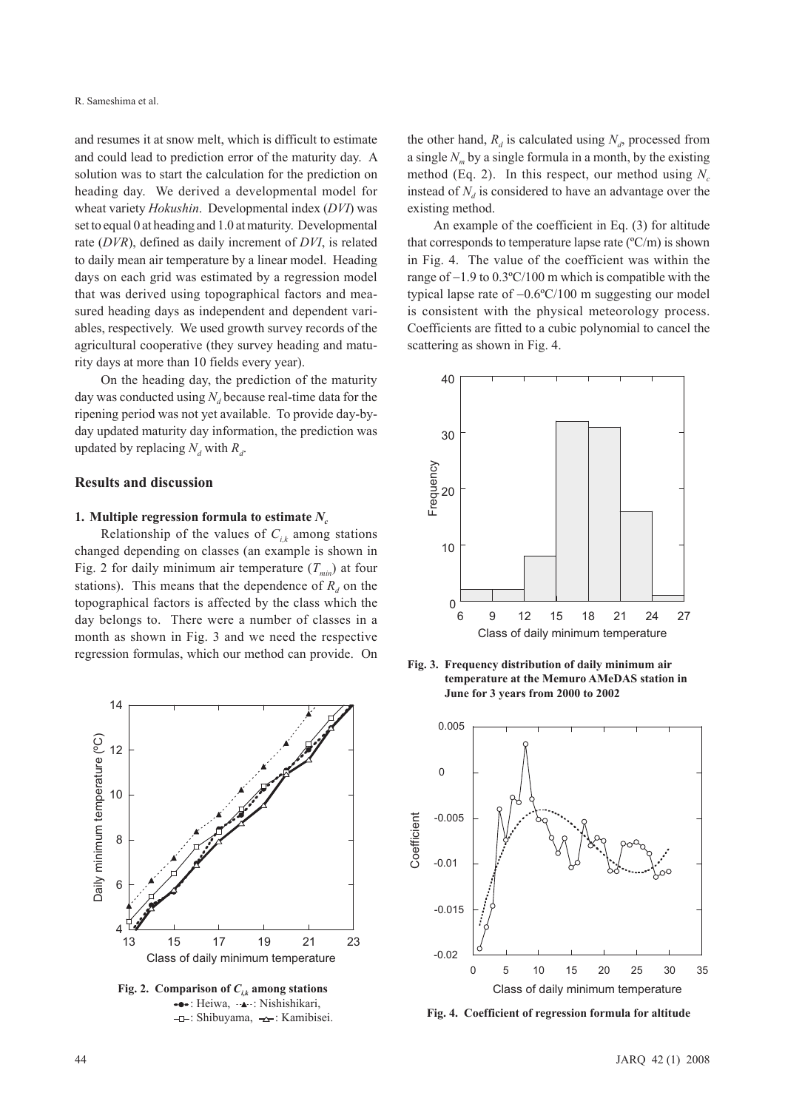and resumes it at snow melt, which is difficult to estimate and could lead to prediction error of the maturity day. A solution was to start the calculation for the prediction on heading day. We derived a developmental model for wheat variety *Hokushin*. Developmental index (*DVI*) was set to equal 0 at heading and 1.0 at maturity. Developmental rate (*DVR*), defined as daily increment of *DVI*, is related to daily mean air temperature by a linear model. Heading days on each grid was estimated by a regression model that was derived using topographical factors and measured heading days as independent and dependent variables, respectively. We used growth survey records of the agricultural cooperative (they survey heading and maturity days at more than 10 fields every year).

On the heading day, the prediction of the maturity day was conducted using  $N_d$  because real-time data for the ripening period was not yet available. To provide day-byday updated maturity day information, the prediction was updated by replacing  $N_d$  with  $R_d$ .

#### **Results and discussion**

#### **1. Multiple regression formula to estimate**  $N_c$

Relationship of the values of  $C_{ik}$  among stations changed depending on classes (an example is shown in Fig. 2 for daily minimum air temperature  $(T_{min})$  at four stations). This means that the dependence of  $R_d$  on the topographical factors is affected by the class which the day belongs to. There were a number of classes in a month as shown in Fig. 3 and we need the respective regression formulas, which our method can provide. On



•••: Heiwa, ·••; Nishishikari, -**D**: Shibuyama,  $\rightarrow$ : Kamibisei.

the other hand,  $R_d$  is calculated using  $N_d$ , processed from a single *Nm* by a single formula in a month, by the existing method (Eq. 2). In this respect, our method using  $N_c$ instead of  $N_d$  is considered to have an advantage over the existing method.

An example of the coefficient in Eq. (3) for altitude that corresponds to temperature lapse rate  $(^{\circ}C/m)$  is shown in Fig. 4. The value of the coefficient was within the range of  $-1.9$  to  $0.3^{\circ}$ C/100 m which is compatible with the typical lapse rate of  $-0.6$ °C/100 m suggesting our model is consistent with the physical meteorology process. Coefficients are fitted to a cubic polynomial to cancel the scattering as shown in Fig. 4.



**Fig. 3. Frequency distribution of daily minimum air temperature at the Memuro AMeDAS station in June for 3 years from 2000 to 2002**



**Fig. 4. Coefficient of regression formula for altitude**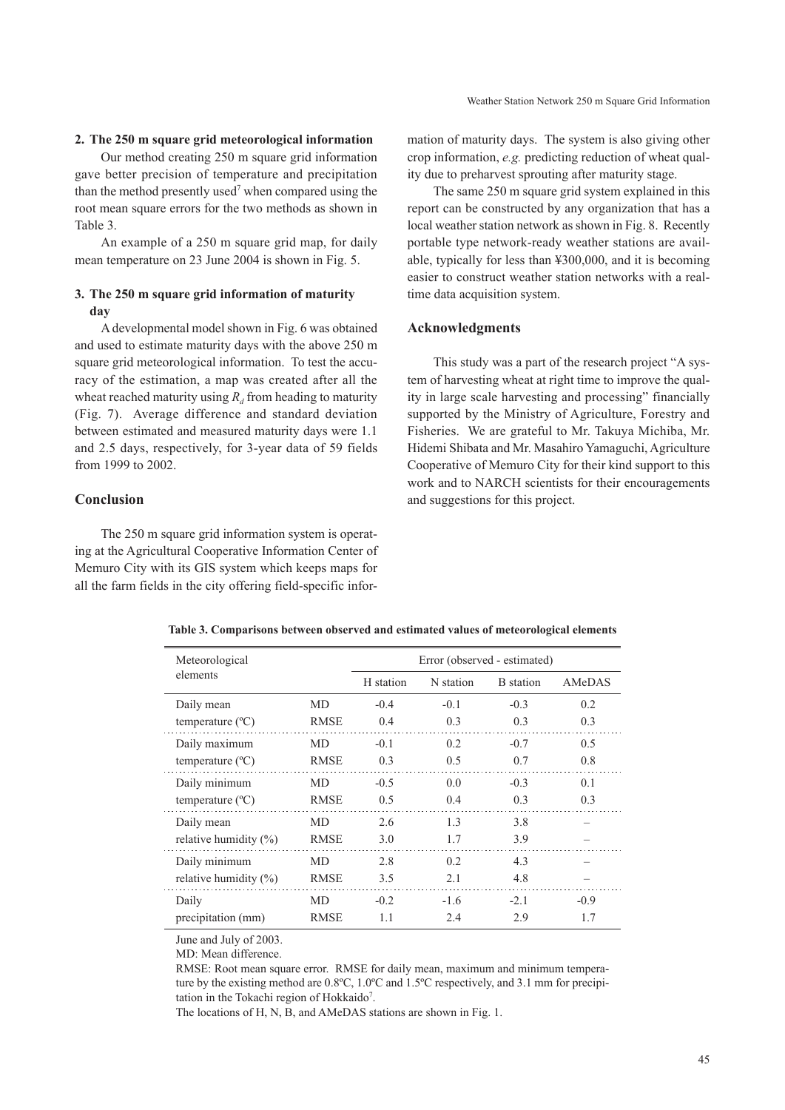## **2. The 250 m square grid meteorological information**

Our method creating 250 m square grid information gave better precision of temperature and precipitation than the method presently used<sup>7</sup> when compared using the root mean square errors for the two methods as shown in Table 3.

An example of a 250 m square grid map, for daily mean temperature on 23 June 2004 is shown in Fig. 5.

## **3. The 250 m square grid information of maturity day**

A developmental model shown in Fig. 6 was obtained and used to estimate maturity days with the above 250 m square grid meteorological information. To test the accuracy of the estimation, a map was created after all the wheat reached maturity using  $R_d$  from heading to maturity (Fig. 7). Average difference and standard deviation between estimated and measured maturity days were 1.1 and 2.5 days, respectively, for 3-year data of 59 fields from 1999 to 2002.

## **Conclusion**

The 250 m square grid information system is operating at the Agricultural Cooperative Information Center of Memuro City with its GIS system which keeps maps for all the farm fields in the city offering field-specific infor-

mation of maturity days. The system is also giving other crop information, *e.g.* predicting reduction of wheat quality due to preharvest sprouting after maturity stage.

The same 250 m square grid system explained in this report can be constructed by any organization that has a local weather station network as shown in Fig. 8. Recently portable type network-ready weather stations are available, typically for less than ¥300,000, and it is becoming easier to construct weather station networks with a realtime data acquisition system.

## **Acknowledgments**

This study was a part of the research project "A system of harvesting wheat at right time to improve the quality in large scale harvesting and processing" financially supported by the Ministry of Agriculture, Forestry and Fisheries. We are grateful to Mr. Takuya Michiba, Mr. Hidemi Shibata and Mr. Masahiro Yamaguchi, Agriculture Cooperative of Memuro City for their kind support to this work and to NARCH scientists for their encouragements and suggestions for this project.

| elements<br>H station<br>MD<br>$-0.4$<br>Daily mean<br><b>RMSE</b><br>temperature $(^{\circ}C)$<br>0.4<br>Daily maximum<br>$-0.1$<br>MD<br><b>RMSE</b><br>0.3<br>temperature $(^{\circ}C)$<br>Daily minimum<br>$-0.5$<br>MD<br>temperature $(^{\circ}C)$<br><b>RMSE</b><br>0.5 | N station<br>$-0.1$ | AMeDAS<br><b>B</b> station |
|--------------------------------------------------------------------------------------------------------------------------------------------------------------------------------------------------------------------------------------------------------------------------------|---------------------|----------------------------|
|                                                                                                                                                                                                                                                                                |                     |                            |
|                                                                                                                                                                                                                                                                                |                     | $-0.3$<br>0.2              |
|                                                                                                                                                                                                                                                                                | 0.3                 | 0.3<br>0.3                 |
|                                                                                                                                                                                                                                                                                | 0.2                 | $-0.7$<br>0.5              |
|                                                                                                                                                                                                                                                                                | 0.5                 | 0.8<br>0.7                 |
|                                                                                                                                                                                                                                                                                | 0.0                 | $-0.3$<br>0.1              |
|                                                                                                                                                                                                                                                                                | 0.4                 | 0.3<br>0.3                 |
| 2.6<br>Daily mean<br>MD                                                                                                                                                                                                                                                        | 1.3                 | 3.8                        |
| relative humidity $(\%)$<br><b>RMSE</b><br>3.0                                                                                                                                                                                                                                 | 1.7                 | 3.9                        |
| Daily minimum<br>2.8<br>MD                                                                                                                                                                                                                                                     | 0.2                 | 4.3                        |
| relative humidity $(\%)$<br><b>RMSE</b><br>3.5                                                                                                                                                                                                                                 | 2.1                 | 4.8                        |
| $-0.2$<br>Daily<br>MD                                                                                                                                                                                                                                                          | $-1.6$              | $-2.1$<br>$-0.9$           |
| precipitation (mm)<br><b>RMSE</b><br>1.1                                                                                                                                                                                                                                       |                     | 1.7<br>2.9                 |

**Table 3. Comparisons between observed and estimated values of meteorological elements**

June and July of 2003. MD: Mean difference.

RMSE: Root mean square error. RMSE for daily mean, maximum and minimum temperature by the existing method are 0.8ºC, 1.0ºC and 1.5ºC respectively, and 3.1 mm for precipitation in the Tokachi region of Hokkaido<sup>7</sup>.

The locations of H, N, B, and AMeDAS stations are shown in Fig. 1.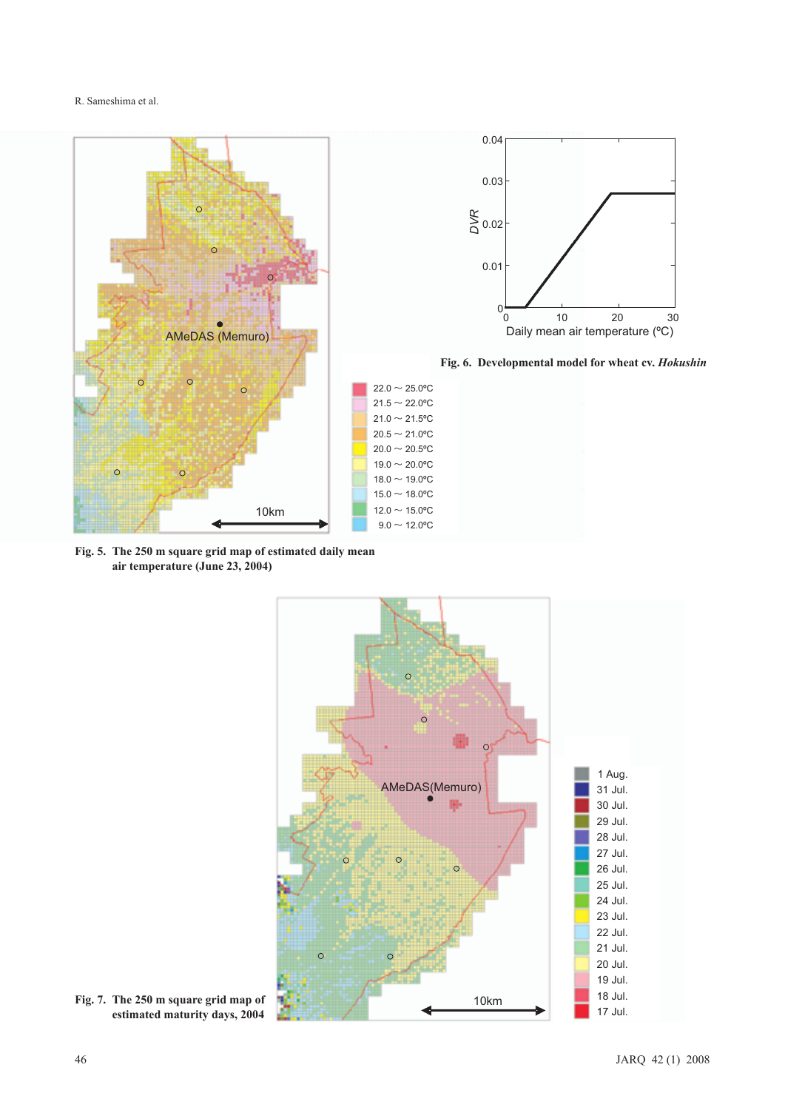

**Fig. 5. The 250 m square grid map of estimated daily mean air temperature (June 23, 2004)**



**Fig. 7. The 250 m square grid map of estimated maturity days, 2004**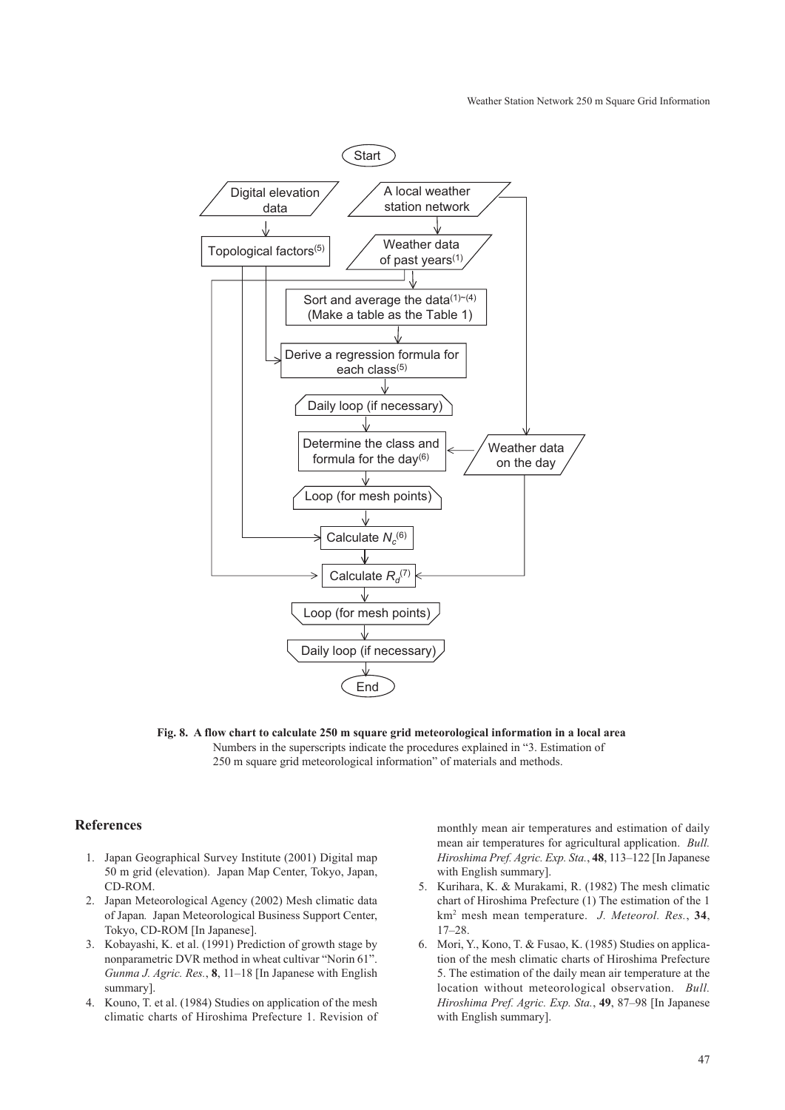#### Weather Station Network 250 m Square Grid Information



**Fig. 8. A flow chart to calculate 250 m square grid meteorological information in a local area** Numbers in the superscripts indicate the procedures explained in "3. Estimation of 250 m square grid meteorological information" of materials and methods.

#### **References**

- 1. Japan Geographical Survey Institute (2001) Digital map 50 m grid (elevation). Japan Map Center, Tokyo, Japan, CD-ROM.
- 2. Japan Meteorological Agency (2002) Mesh climatic data of Japan*.* Japan Meteorological Business Support Center, Tokyo, CD-ROM [In Japanese].
- 3. Kobayashi, K. et al. (1991) Prediction of growth stage by nonparametric DVR method in wheat cultivar "Norin 61". *Gunma J. Agric. Res.*, **8**, 11–18 [In Japanese with English summary].
- 4. Kouno, T. et al. (1984) Studies on application of the mesh climatic charts of Hiroshima Prefecture 1. Revision of

monthly mean air temperatures and estimation of daily mean air temperatures for agricultural application. *Bull. Hiroshima Pref. Agric. Exp. Sta.*, **48**, 113–122 [In Japanese with English summary].

- 5. Kurihara, K. & Murakami, R. (1982) The mesh climatic chart of Hiroshima Prefecture (1) The estimation of the 1 km2 mesh mean temperature. *J. Meteorol. Res.*, **34**, 17–28.
- 6. Mori, Y., Kono, T. & Fusao, K. (1985) Studies on application of the mesh climatic charts of Hiroshima Prefecture 5. The estimation of the daily mean air temperature at the location without meteorological observation. *Bull. Hiroshima Pref. Agric. Exp. Sta.*, **49**, 87–98 [In Japanese with English summary].